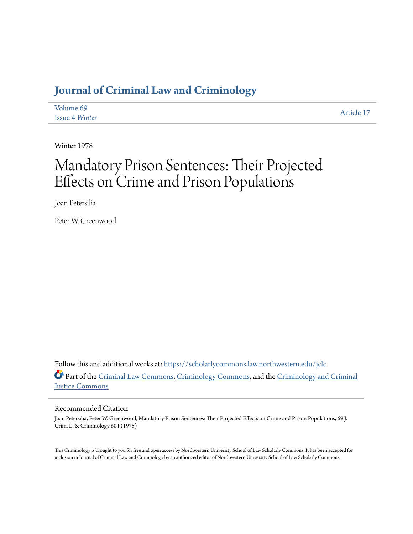# **[Journal of Criminal Law and Criminology](https://scholarlycommons.law.northwestern.edu/jclc?utm_source=scholarlycommons.law.northwestern.edu%2Fjclc%2Fvol69%2Fiss4%2F17&utm_medium=PDF&utm_campaign=PDFCoverPages)**

| Volume 69             | Article 17 |
|-----------------------|------------|
| <b>Issue 4 Winter</b> |            |

Winter 1978

# Mandatory Prison Sentences: Their Projected Effects on Crime and Prison Populations

Joan Petersilia

Peter W. Greenwood

Follow this and additional works at: [https://scholarlycommons.law.northwestern.edu/jclc](https://scholarlycommons.law.northwestern.edu/jclc?utm_source=scholarlycommons.law.northwestern.edu%2Fjclc%2Fvol69%2Fiss4%2F17&utm_medium=PDF&utm_campaign=PDFCoverPages) Part of the [Criminal Law Commons](http://network.bepress.com/hgg/discipline/912?utm_source=scholarlycommons.law.northwestern.edu%2Fjclc%2Fvol69%2Fiss4%2F17&utm_medium=PDF&utm_campaign=PDFCoverPages), [Criminology Commons](http://network.bepress.com/hgg/discipline/417?utm_source=scholarlycommons.law.northwestern.edu%2Fjclc%2Fvol69%2Fiss4%2F17&utm_medium=PDF&utm_campaign=PDFCoverPages), and the [Criminology and Criminal](http://network.bepress.com/hgg/discipline/367?utm_source=scholarlycommons.law.northwestern.edu%2Fjclc%2Fvol69%2Fiss4%2F17&utm_medium=PDF&utm_campaign=PDFCoverPages) [Justice Commons](http://network.bepress.com/hgg/discipline/367?utm_source=scholarlycommons.law.northwestern.edu%2Fjclc%2Fvol69%2Fiss4%2F17&utm_medium=PDF&utm_campaign=PDFCoverPages)

# Recommended Citation

Joan Petersilia, Peter W. Greenwood, Mandatory Prison Sentences: Their Projected Effects on Crime and Prison Populations, 69 J. Crim. L. & Criminology 604 (1978)

This Criminology is brought to you for free and open access by Northwestern University School of Law Scholarly Commons. It has been accepted for inclusion in Journal of Criminal Law and Criminology by an authorized editor of Northwestern University School of Law Scholarly Commons.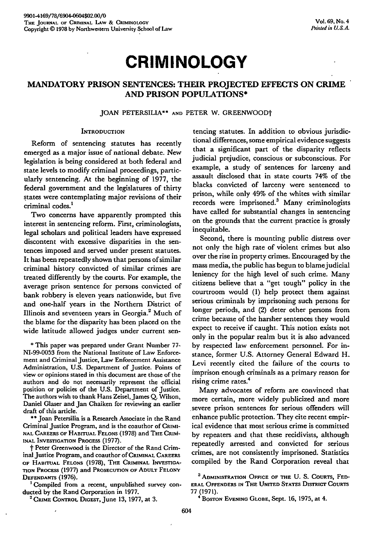# **CRIMINOLOGY**

# **MANDATORY PRISON SENTENCES: THEIR PROJECTED EFFECTS ON CRIME AND PRISON POPULATIONS\***

**JOAN** PETERSILIA\*\* **AND** PETER W. GREENWOODt

# **INTRODUCTION**

Reform of sentencing statutes has recently emerged as a major issue of national debate. New legislation is being considered at both federal and state levels to modify criminal proceedings, particularly sentencing. At the beginning of 1977, the federal government and the legislatures of thirty states were contemplating major revisions of their criminal codes.'

Two concerns have apparently prompted this interest in sentencing reform. First, criminologists, legal scholars and political leaders have expressed discontent with excessive disparities in the sentences imposed and served under present statutes. It has been repeatedly shown that persons of similar criminal history convicted of similar crimes are treated differently by the courts. For example, the average prison sentence for persons convicted of bank robbery is eleven years nationwide, but five and one-half years in the Northern District of Illinois and seventeen years in Georgia. 2 Much of the blame for the disparity has been placed on the wide latitude allowed judges under current sen-

**\*** This paper was prepared under Grant Number 77- NI-99-0053 from the National Institute of Law Enforcement and Criminal Justice, Law Enforcement Assistance Administration, U.S. Department of Justice. Points of view or opinions stated in this document are those of the authors and do not necessarily represent the official position or policies of the U.S. Department of Justice. The authors wish to thank Hans Zeisel, James **Q.** Wilson, Daniel Glaser and Jan Chaiken for reviewing an earlier draft of this article.

\*\* Joan Petersilia is a Research Associate in the Rand Criminal Justice Program, and is the coauthor of CRIMI-NAL CAREERS OF HABITUAL FELONS **(1978)** and THE **CRIM-**INAL INVESTIGATION **PROCESS (1977).**

t Peter Greenwood is the Director of the Rand Criminal Justice Program, and coauthor **of CRIMINAL** CAREERS OF HABITUAL **FELONS (1978),** THE CRIMINAL **INVESTIGA-**TION PROCESS **(1977)** and PROSECUTION OF **ADULT FELONY DEFENDANTS (1976).**

'Compiled from a recent, unpublished survey conducted **by** the Rand Corporation in **1977.**

**'CRIME** CONTROL **DIGEST,** June **13, 1977,** at **3.**

tencing statutes. In addition to obvious jurisdictional differences, some empirical evidence suggests that a significant part of the disparity reflects judicial prejudice, conscious or subconscious. For example, a study of sentences for larceny and assault disclosed that in state courts 74% of the blacks convicted of larceny were sentenced to prison, while only 49% of the whites with similar records were imprisoned.<sup>3</sup> Many criminologists have called for substantial changes in sentencing on the grounds that the current practice is grossly inequitable.

Second, there is mounting public distress over not only the high rate of violent crimes but also over the rise in property crimes. Encouraged **by** the mass media, the public has begun to blame judicial leniency for the high level of such crime. Many **citizens** believe that a "get tough" policy in the courtroom would **(1)** help protect them against serious criminals **by** imprisoning such persons for longer periods, and (2) deter other persons from crime because of the harsher sentences they would expect to receive if caught. This notion exists not only in the popular realm but it is also advanced **by** respected law enforcement personnel. For instance, former **U.S.** Attorney General Edward H. Levi recently cited the failure of the courts to imprison enough criminals as a primary reason for rising crime rates.4

Many advocates of reform are convinced that more certain, more widely publicized and more .severe prison sentences for serious offenders will enhance public protection. They cite recent empirical evidence that most serious crime is committed by repeaters and that these recidivists, although repeatedly arrested and convicted for serious crimes, are not consistently imprisoned. Statistics compiled **by** the Rand Corporation reveal that

**<sup>3</sup> ADMINISTRATION OFFICE OF THE U. S.** COURTS, **FED-ERAL OFFENDERS IN THE UNITED STATES DISTRICT COURTS 77 (1971).**

**<sup>&</sup>quot; BOSTON EVENING GLOBE,** Sept. **16, 1975,** at 4.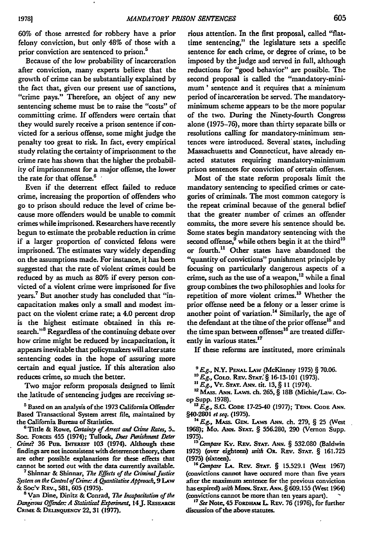60% of those arrested for robbery have a prior felony conviction, but only 48% of those with a prior conviction are sentenced to prison.<sup>5</sup>

Because of the low probability of incarceration after conviction, many experts believe that the growth of crime can be substantially explained by the fact that, given our present use of sanctions, "crime pays." Therefore, an object of any new sentencing scheme must be to raise the "costs" of committing crime. If offenders were certain that they would surely receive a prison sentence if convicted for a serious offense, some might judge the penalty too great to risk. In fact, every empirical study relating the certainty of imprisonment to the crime rate has shown that the higher the probability of imprisonment for a major offense, the lower the rate for that offense.<sup>6</sup>

Even if the deterrent effect failed to reduce crime, increasing the proportion of offenders who go to prison should reduce the level of crime because more offenders would be unable to commit crimes while imprisoned. Researchers have recently begun to estimate the probable reduction in crime if a larger proportion of convicted felons were imprisoned. The estimates vary widely depending on the assumptions made. For instance, it has been suggested that the rate of violent crimes could be reduced by as much as 80% if every person convicted of a violent crime were imprisoned for five years.<sup>7</sup> But another study has concluded that "incapacitation makes only a small and modest impact on the violent crime rate; a 4.0 percent drop is the highest estimate obtained in this research."<sup>8</sup> Regardless of the continuing debate over how crime might be reduced by incapacitation, it appears inevitable that policymakers will alterstate sentencing codes in the hope of assuring more certain and equal justice. **If** this alteration also reduces crime, so much the better.

Two major reform proposals designed to limit the latitude of sentencing judges are receiving se-

**<sup>5</sup>**Based on an analysis of the **1973** California Offender Based Transactional System arrest file, maintained **by** the California Bureau of Statistics.

6 Tittle & Rowe, *Certainty of Arrest and Crime Rates, 5-* Soc. FORCEs 455 (1974); Tullock, *Does Ihniment Deter Crime*? 36 PuB. INTEREST 103 (1974). Although these findings are not inconsistent with deterrence theory, ther are other possible explanations for these effects that cannot **be** sorted out with the data currently available.

<sup>7</sup> Shinnar & Shinnar, *The Effects of the Criminal Justice System on the Control of Crime A Ojantitatire Appmada, 9 LAw* & Soc'y REv., 581, 605 (1975).

**8** Van Dine, Dinitz & Conrad, *The Irapacitation of the Dangerous Offender: A Statistical Experiment, 14 J. RESEARCH* **CRIME & DELNQUENCY 22,31 (1977).**

rious attention. In the first proposal, called "flattime sentencing," the legislature sets a specific sentence for each crime, or degree of crime, to be imposed **by** the judge and served in full, although reductions for "good behavior" are possible. The second proposal is called the "mandatory-minimum' sentence and it requires that a minimum period of incarceration be served. The mandatoryminimum scheme appears to be the more popular of the two. During the Ninety-fourth Congress alone (1975-76), more than thirty separate bills or resolutions calling for mandatory-minimum sentences were introduced. Several'states, including Massachusetts and Connecticut, have already enacted statutes requiring mandatory-minimum prison sentences for conviction of certain offenses.

Most of the state reform proposals limit the mandatory sentencing to specified crimes or categories of criminals. The most common category is the repeat criminal because of the general belief that the greater number of crimes an offender commits, the more severe his sentence should be. Some states begin mandatory sentencing with the second offense,<sup>9</sup> while others begin it at the third<sup>10</sup> or fourth." Other states have abandoned the "quantity of convictions" punishment principle by focusing on particularly dangerous aspects of a crime, such as the use of a weapon,<sup>12</sup> while a final group combines the two philosophies and looks for repetition of more violent crimes.<sup>13</sup> Whether the prior offense need be a felony or a lesser crime is another point of variation.<sup>14</sup> Similarly, the age of the defendant at the time of the prior offense<sup>15</sup> and the time span between offenses<sup>16</sup> are treated differently in various states.<sup>17</sup>

If these reforms are instituted, more criminals

*<sup>9</sup> E g.,* N.Y. **PENAL LAw** (McKinney **1975)** § **70.06.**

*' <sup>0</sup> Eg.,* Cowo. REv. **STAT.§ § 16-13-101 (1973).**

*'Eg.,* **VT. STAT.** As. tit. **13, § 11** (1974).

' <sup>2</sup> MAss. **ANN.** LAws. eh **265,** § 18B (Michie/Law. Coop Supp. **1978).**

**UjFg., S.C. CODE 17-25-40 (1977); TENN. CODE ANN.** §40-2801 et seq. (1975).

**<sup>14</sup> E.g., Mass. Gen. Laws Ann. ch. 279, § 25 (West 1968);** Mo. ANN. **STAT.** § **556.280, 290** (Vernon Supp. **1975).** *<sup>5</sup>*Compare **Ky. REv. STAT. ANN.** § **532.080** (Baldwin

**1975) (over** eighteen) with **OR.** REv. **STAT.** § **161.725 (1975)** (sixteen).

*' <sup>6</sup> Compare* **LA. Rav. STAT.** § **15.529.1** (West **1967)** (convictions cannot have occured more than five years after the maximum sentence for the previous conviction has expired) *with Munm* **STAT. ANN.** § **609.155** (West 1964) (convictions cannot be more than ten years apart). **-**

<sup>17</sup> See Note, 45 FORDHAM L. REV. 76 (1976), for further discussion of the above statutes.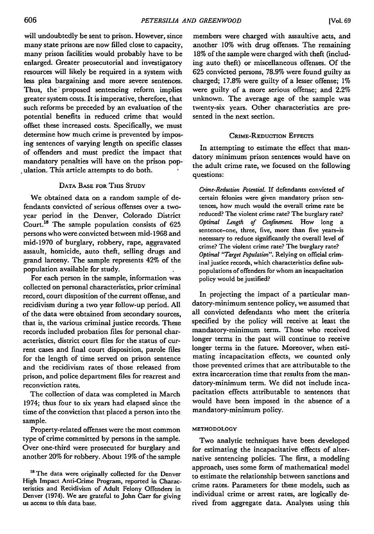will undoubtedly be sent to prison. However, since many state prisons are now filled close to capacity, many prison facilities would probably have to be enlarged. Greater prosecutorial and investigatory resources will likely be required in a system with less plea bargaining and more severe sentences. Thus, the proposed sentencing reform implies greater system costs. It is imperative, therefore, that such reforms be preceded by an evaluation of the potential benefits in reduced crime that would offset these increased costs. Specifically, we must determine how much crime is prevented by imposing sentences of varying length on specific classes of offenders and must predict the impact that mandatory penalties will have on the prison population. This article attempts to do both.

# DATA BASE FOR THIS **STUDY**

We obtained data on a random sample of defendants convicted of serious offenses over a twoyear period in the Denver, Colorado District Court.<sup>18</sup> The sample population consists of 625 persons who were convicted between mid-1968 and mid-1970 of burglary, robbery, rape, aggravated assault, homicide, auto theft, selling drugs and grand larceny. The sample represents 42% of the population available for study.

For each person in the sample, information was collected on personal characteristics, prior criminal record, court disposition of the current offense, and recidivism during a two year follow-up period. **All** of the data were obtained from secondary sources, that is, the various criminal justice records. These records included probation files for personal characteristics, district court files for the status of current cases and final court disposition, parole files for the length of time served on prison sentence and the recidivism rates of those released from prison, and police department files for rearrest and reconviction rates.

The collection of data was completed in March 1974; thus four to six years had elapsed since the time of the conviction that placed a person into the sample.

Property-related offenses were the most common type of crime committed **by** persons in the sample. Over one-third were prosecuted for burglary and another 20% for robbery. About **19%** of the sample

<sup>18</sup> The data were originally collected for the Denver High Impact Anti-Crime Program, reported in Characteristics and Recidivism of Adult Felony Offenders in Denver (1974). We are grateful to John Carr for giving us access to this data base.

members were charged with assaultive acts, and another **10%** with drug offenses. The remaining 18% of the sample were charged with theft (including auto theft) or miscellaneous offenses. **Of** the **625** convicted persons, **78.9%** were found guilty as charged; **17.8%** were guilty of a lesser offense; **1%** were guilty of a more serious offense; and 2.2% unknown. The average age of the sample was twenty-six years. Other characteristics are presented in the next section.

# CRIME-REDUCTION **EFFECTS**

In attempting to estimate the effect that mandatory minimum prison sentences would have on the adult crime rate, we focused on the following questions:

*Crime-Reduction Potential.* If defendants convicted of certain felonies were given mandatory prison sentences, how much would the overall crime rate be reduced? The violent crime rate? The burglary rate? *Optimal Length of Confinement* How long a sentence-one, three, five, more than five years-is necessary to reduce significantly the overall level of crime? The violent crime rate? The burglary rate? *Optimal "Target Population".* Relying on official criminal justice records, which characteristics define subpopulations of offenders for whom an incapacitation policy would be justified?

In projecting the impact of a particular mandatory-minimum sentence policy, we assumed that all convicted defendants who meet the criteria specified by the policy will receive at least the mandatory-minimum term. Those who received longer terms in the past will continue to receive longer terms in the future. Moreover, when estimating incapacitation effects, we counted only those prevented crimes that are attributable to the extra incarceration time that results from the mandatory-minimum term. We did not include incapacitation effects attributable to sentences that would have been imposed in the absence of a mandatory-minimum policy.

### **METHODOLOGY**

Two analytic techniques have been developed for estimating the incapacitative effects of alternative sentencing policies. The first, a modeling approach, uses some form of mathematical model to estimate the relationship between sanctions and crime rates. Parameters for these models, such as individual crime or arrest rates, are logically derived from aggregate data. Analyses using this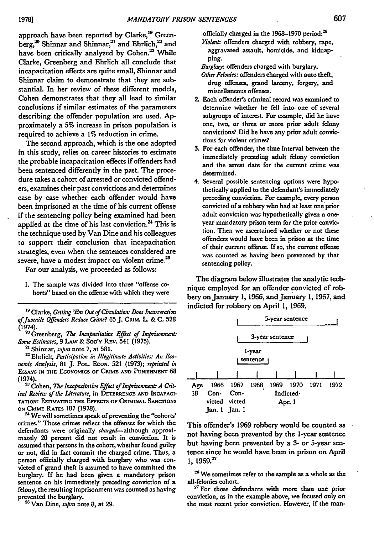approach have been reported **by** Clarke,19 Greenberg,<sup>20</sup> Shinnar and Shinnar,<sup>21</sup> and Ehrlich,<sup>22</sup> and have been critically analyzed **by** Cohen.23 While Clarke, Greenberg and Ehrlich all conclude that incapacitation effects are quite small, Shinnar and Shinnar claim to demonstrate that they are substantial. In her review of these different models, Cohen demonstrates that they all lead to similar conclusions if similar estimates of the parameters describing the offender population are used. **Ap**proximately a **5%** increase in prison population is required to achieve a **1%** reduction in crime.

The second approach, which is the one adopted in this study, relies on career histories to estimate the probable incapacitation effects if offenders had been sentenced differently in the past. The procedure takes a cohort of arrested or convicted offenders, examines their past convictions and determines case **by** case whether each offender would have been imprisoned at the time of his current offense if the sentencing policy being examined had been applied at the time of his last conviction. $24$  This is the technique used **by** Van Dine and his colleagues to support their conclusion that incapacitation strategies, even when the sentences considered are severe, have a modest impact on violent crime.<sup>25</sup>

For our analysis, we proceeded as follows:

**1.** The sample was divided into three "offense co**horts"** based on the offense with which they were

**19** Clarke, *Getting 'Em Out of Circulation: Does Incarceration ofjuvenile Offenders Reduce Crime?* **65 J. CRIU.** L. & **C.** 528 (1974).

**'** Greenberg, *The Intcapacitative Effect of Imprisonment: Some Estimates,* 9 **LAw** & Soc'Y REv. 541 (1975).

**<sup>21</sup>**Shinnar, *supra* note 7, at 581.

**'** Ehrlich, *Participation in Illegitimate Activities: An Economic Analysis,* 81 J. **PoL ECON.** 521 (1973); *reprinted in* **ESSAYS IN THE ECONOMICS OF CRIME AND PUNIsHMENT 68** (1974).

**'** Cohen, *The Incapacitative Effect of Imprisonment: A Crit*ical Review of the Literature, in **DETERRENCE AND INCAPACI-TATION: ESTIMATING THE EFFECTS OF CRIMINAL SANCriONS ON CRIME RATES 187 (1978).** 2 We will sometimes speak of preventing the "cohorts'

crimes." Those crimes reflect the offenses for which the defendants were originally *charged-although* approximately 20 percent did not result in conviction. It is **assumed** that persons in the cohort, whether found guilty or not, did in fact commit the charged crime. Thus, a person officially charged with burglary who was convicted of grand theft is assumed to have committed the burglary. **If** he had been given a mandatory prison sentence on his immediately preceding conviction of a felony, the resulting imprisonment was counted as having prevented the burglary.

**<sup>2</sup>**Van Dine, *supra* note **8,** at **29.**

officially charged in the **1968-1970** period:

*Violent:* offenders charged with robbery, rape, **aggravated assault, homicide,** and kidnapping.

*Burglay:* offenders charged with burglary.

*Other Felonies:* **offenders** charged with auto theft, drug offenses, grand larceny, forgery, and miscellaneous offenses.

- 2. Each offender's criminal record was examined to determine whether he **fell** into. one of several subgroups of interest. For example, did he have one, two, or three or more prior adult felony convictions? Did he have any prior adult convictions for violent crimes?
- **3.** For each offender, the time interval between the immediately preceding adult felony conviction and the arrest date for the current crime was determined.
- 4. Several possible sentencing options were hypothetically applied to the defendant's immediately preceding conviction. For example, every person convicted of a robbery who had at least one prior adult conviction was hypothetically given a oneyear mandatory prison term for the prior conviction. Then we ascertained whether or not these offenders would have been in prison at the time of their current offense. **If** so, the current offense was counted as having been prevented **by** that sentencing policy.

The diagram below illustrates the analytic technique employed *for* an offender convicted of robbery on January **1, 1966,** and January **1, 1967,** and indicted for robbery on April **1, 1969.**

|     | 5-year sentence |                 |                      |                 |                     |  |  |  |
|-----|-----------------|-----------------|----------------------|-----------------|---------------------|--|--|--|
|     |                 |                 |                      | 3-year sentence |                     |  |  |  |
|     |                 |                 | l-year<br>sentence 1 |                 |                     |  |  |  |
|     |                 |                 |                      |                 |                     |  |  |  |
| Age |                 | 1966 1967 1968  |                      |                 | 1969 1970 1971 1972 |  |  |  |
| 18  | Con- Con-       |                 | <b>Indicted</b>      |                 |                     |  |  |  |
|     |                 | victed victed   | Apr. 1               |                 |                     |  |  |  |
|     |                 | $Jan.1$ $Jan.1$ |                      |                 |                     |  |  |  |

This offender's **1969** robbery would be counted as not having been prevented **by** the 1-year sentence but having been prevented **by** a **3-** or 5-year sentence since he would have been in prison on April **1, 1969.**<sup>27</sup>

<sup>26</sup> We sometimes refer to the sample as a whole as the all-felonies cohort.

**'7** For those defendants with more than one prior conviction, as in the example above, we focused only on the most recent prior conviction. However, if the man-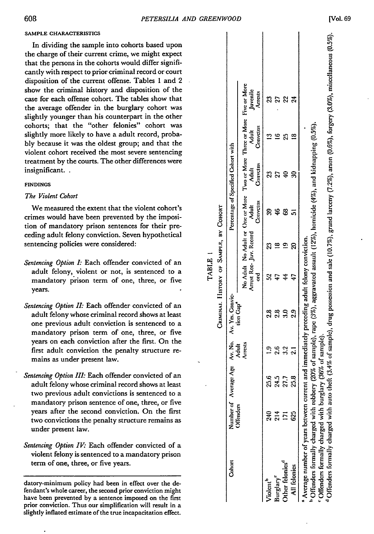## **SAMPLE CHARACTERISTICS**

# *The Violent Cohort*

- tion of mandatory prison sentences for their pre-<br>
ceding adult felony conviction. Seven hypothetical<br>
sentencing policies were considered:<br>
<br> *Sentencing Option I*: Each offender convicted of an<br>
adult felony, violent or *Sentencing Option I:* Each offender convicted of an adult felony, violent or not, is sentenced to a<br>
mandatory prison term of one three or five adult felony, violent or not, is sentenced to a mandatory prison term of one, three, or five  $\begin{bmatrix} \vdots \\ \vdots \\ \vdots \\ \vdots \end{bmatrix} \begin{bmatrix} \leq \frac{1}{2} \\ \geq \frac{1}{2} \end{bmatrix}$
- *Sentencing Option II: Each offender convicted of an* adult felony whose criminal record shows at least **0 -t**one previous adult conviction is sentenced to a mandatory prison term of one, three, or five **<** years on each conviction after the first. On the first adult conviction the penalty structure remains as under present law.
- *Sentencing Option III:* Each offender convicted of an **0c** adult felony whose criminal record shows at least two previous adult convictions is sentenced to a **0** mandatory prison sentence of one, three, or five years after the second conviction. On the first two convictions the penalty structure remains as under present law.
- *Sentencing Option IV: Each offender convicted of a* violent felony is sentenced to a mandatory prison term of one, three, or five years.

datory-minimum policy had been in effect over the defendant's whole career, the second prior conviction might have been prevented **by** a sentence imposed on the first prior conviction. Thus our simplification will result in a slightly inflated estimate of the true incapacitation effect.

| SAMPLE CHARACTERISTICS                                                                                                                                                                                                                                                       |                   |                                     |                                            |                     |                     |                            |              |
|------------------------------------------------------------------------------------------------------------------------------------------------------------------------------------------------------------------------------------------------------------------------------|-------------------|-------------------------------------|--------------------------------------------|---------------------|---------------------|----------------------------|--------------|
| In dividing the sample into cohorts based upon<br>the charge of their current crime, we might expect<br>that the persons in the cohorts would differ signifi-<br>cantly with respect to prior criminal record or court<br>disposition of the current offense. Tables 1 and 2 |                   |                                     |                                            |                     |                     |                            |              |
| show the criminal history and disposition of the<br>case for each offense cohort. The tables show that<br>the average offender in the burglary cohort was<br>slightly younger than his counterpart in the other                                                              |                   |                                     | Five or More<br>Juvenile<br><b>Arrests</b> |                     | 3533                |                            |              |
| cohorts; that the "other felonies" cohort was<br>slightly more likely to have a adult record, proba-<br>bly because it was the oldest group; and that the<br>violent cohort received the most severe sentencing                                                              |                   |                                     | Three or More<br>Convetus                  |                     | 19689               |                            |              |
| treatment by the courts. The other differences were<br>insignificant<br><b>FINDINGS</b>                                                                                                                                                                                      |                   |                                     | Two or More "<br>Adult<br>Convetus         |                     | 3599                |                            |              |
| The Violent Cohort<br>We measured the extent that the violent cohort's<br>crimes would have been prevented by the imposi-                                                                                                                                                    | Сонокт            | Percentage of Specified Cohort with | One or More<br>Adult<br>Convetus           |                     | 2985                |                            |              |
| tion of mandatory prison sentences for their pre-<br>ceding adult felony conviction. Seven hypothetical<br>sentencing policies were considered:                                                                                                                              | à<br>SAMPLE,      |                                     | No Adult or<br>Juv. Record                 |                     | 3999                |                            |              |
| Sentencing Option I: Each offender convicted of an<br>adult felony, violent or not, is sentenced to a<br>mandatory prison term of one, three, or five<br>years.                                                                                                              | <b>TABLE</b><br>ò |                                     | Arrest Rec-<br>No Adult<br>g               | 547                 |                     | $\frac{4}{3}$              | $\ddot{t}$   |
| Sentencing Option II: Each offender convicted of an<br>adult felony whose criminal record shows at least<br>one previous adult conviction is sentenced to a<br>mandatory prison term of one, three, or five                                                                  | CRIMINAL. HISTORY | Convic-<br>Av. Yrs. 0               | .<br>Gap                                   |                     | 88808<br>2388       |                            |              |
| years on each conviction after the first. On the<br>first adult conviction the penalty structure re-<br>mains as under present law.                                                                                                                                          |                   | Av. No.                             | Adult<br>Arrests                           |                     | $2.3 - 1$           |                            |              |
| Sentencing Option III: Each offender convicted of an<br>adult felony whose criminal record shows at least<br>two previous adult convictions is sentenced to a                                                                                                                |                   | Average Age                         |                                            |                     | <b>8558</b><br>8858 |                            |              |
| mandatory prison sentence of one, three, or five<br>years after the second conviction. On the first<br>two convictions the penalty structure remains as<br>under present law.                                                                                                |                   | Number of<br>Offenders              |                                            |                     | $37 - 8$            |                            |              |
| Sentencing Option IV: Each offender convicted of a<br>violent felony is sentenced to a mandatory prison<br>term of one, three, or five years.                                                                                                                                |                   | Cohort                              |                                            |                     |                     | ther felonies <sup>d</sup> | All felonies |
| datory-minimum policy had been in effect over the de-<br>fendant's whole career, the second prior conviction might<br>have been prevented by a sentence imposed on the first                                                                                                 |                   |                                     |                                            | Tolent <sup>h</sup> | 'urglary            |                            |              |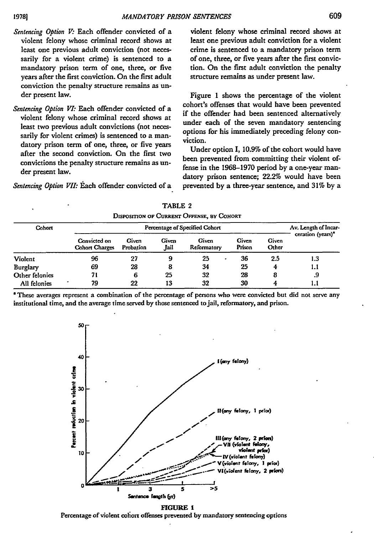- Sentencing Option V: Each offender convicted of a violent felony whose criminal record shows at least one previous adult conviction (not necessarily for a violent crime) is sentenced to a mandatory prison term of one, three, or five years after the first conviction. On the first adult conviction the penalty structure remains as under present law.
- *Sentencing Option VI:* Each offender convicted of a violent felony whose criminal record shows at least two previous adult convictions (not necessarily for violent crimes) is sentenced to a mandatory prison term of one, three, or five years after the second conviction. On the first two convictions the penalty structure remains as under present law.

*Sentencing Option VII:* Each offender convicted of a

violent felony whose criminal record shows at least one previous adult conviction for a violent crime is sentenced to a mandatory prison term of one, three, or five years after the first conviction. On the first adult conviction the penalty structure remains as under present law.

Figure **1** shows the percentage of the violent cohort's offenses that would have been prevented if the offender had been sentenced alternatively under each of the seven mandatory sentencing options for his immediately preceding felony conviction.

Under option I, 10.9% of the cohort would have been prevented from committing their violent offense in the **1968-1970** period by a one-year mandatory prison sentence; 22.2% would have been prevented **by** a three-year sentence, and **31%** by a

| DISPOSITION OF CORRENT OFFENSE, BY COHORT |    |                                |                                                       |                     |                      |                 |                |      |  |
|-------------------------------------------|----|--------------------------------|-------------------------------------------------------|---------------------|----------------------|-----------------|----------------|------|--|
| Cohort<br>Violent                         |    |                                | Av. Length of Incar-<br>ceration (years) <sup>*</sup> |                     |                      |                 |                |      |  |
|                                           |    | Convicted on<br>Cohort Charges | Given<br>Probation<br>27                              | Given<br>.Jail<br>9 | Given<br>Reformatory | Given<br>Prison | Given<br>Other |      |  |
|                                           | 96 |                                |                                                       |                     | 25<br>٠              | 36              | 2.5            | 1.3  |  |
| Burglary                                  |    | 69                             | 28                                                    | 8                   | 34                   | 25              | 4              | 1. I |  |
| Other felonies                            |    | 71                             | 6                                                     | 25                  | 32                   | 28              | 8              | .9   |  |
| All felonies                              |    | 79                             | 22                                                    | 13                  | 32                   | 30              | 4              | IJ   |  |

**TABLE 2 DISPOSmON OF CURRENT OFFENSE, BY COHORT**

'These averages represent a combination of the percentage of persons who were convicted but did not serve any institutional time, and the average time served **by** those sentenced to jail, reformatory, and prison.



**FIGURE 1** Percentage of violent cohort offenses prevented by mandatory sentencing options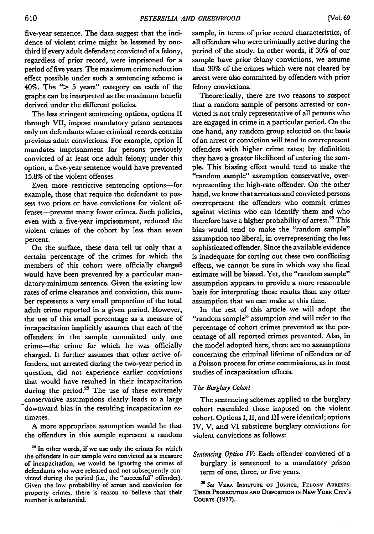five-year sentence. The data suggest that the incidence of violent crime might be lessened **by** onethird if every adult defendant convicted of a felony, regardless of prior record, were imprisoned for a period of five years. The maximum crime reduction effect possible under such a sentencing scheme is 40%. The *">* **5** years" category on each of the graphs can be interpreted as the maximum benefit derived under the different policies.

The less stringent sentencing options, options **II** through VII, impose mandatory prison sentences only on defendants whose criminal records contain previous adult convictions. For example, option **II** mandates imprisonment for persons previously convicted of at least one adult felony; under this option, a five-year sentence would have prevented **15.8%** of the violent offenses.

Even more restrictive sentencing options--for example, those that require the defendant to **pos**sess two priors or have convictions for violent offenses-prevent many fewer crimes. Such policies, even with a five-year imprisonment, reduced the violent crimes of the cohort **by** less than seven percent.

On the surface, these data tell us only that a certain percentage of the crimes for which the members of this cohort were officially charged would have been prevented **by** a particular mandatory-minimum sentence. Given the existing low rates of crime clearance and conviction, this number represents a very small proportion of the total adult crime reported in a given period. However, the use of this small percentage as a measure of incapacitation implicitly assumes that each of the offenders in the sample committed only one crime-the crime for which he was officially charged. It further assumes that other active offenders, not arrested during the two-year period in question, did not experience earlier convictions that would have resulted in their incapacitation during the period.<sup>28</sup> The use of these extremely conservative assumptions clearly leads to a large downward bias in the resulting incapacitation estimates.

**A** more appropriate assumption would be that the offenders in this sample represent a random

<sup>28</sup> In other words, if we use only the crimes for which the offenders in our sample were convicted as a measure of incapacitation, we would be ignoring the crimes of defendants who were released and not subsequently convicted during the period (i.e., the "successful" offender). Given the low probability of arrest and conviction for property crimes, there is reason to believe that their number is substantial.

sample, in terms of prior record characteristics, of all offenders who were criminally active during the period of the study. In other words, if **30%** of our sample have prior felony convictions, we assume that **30%** of the crimes which were not cleared **by** arrest were also committed **by** offenders with prior felony convictions.

Theoretically, there are two reasons to suspect that a random sample of persons arrested or convicted is not truly representative of all persons who are engaged in crime in a particular period. On the one hand, any random group selected on the basis of an arrest or conviction will tend to overrepresent offenders with higher crime rates; **by** definition they have a greater likelihood of entering the sam**ple.** This biasing effect would tend to make the "random sample" assumption conservative, overrepresenting the high-rate offender. On the other hand, we know that arrestees and convicted persons overrepresent the offenders who commit crimes against victims who can identify them and who therefore have a higher probability of arrest.<sup>29</sup> This bias would tend to make the "random sample" assumption too liberal, in overrepresenting the less sophisticated offender. Since the available evidence is inadequate for sorting out these two conflicting effects, we cannot be sure in which way the final estimate will be biased. Yet, the "random sample" assumption appears to provide a more reasonable basis for interpreting those results than any other assumption that we can make at this time.

In the rest of this article we will adopt the "random sample" assumption and will refer to the percentage of cohort crimes prevented as the percentage of all reported crimes prevented. Also, in the model adopted here, there are no assumptions concerning the criminal lifetime of offenders or of a Poisson process for crime commissions, as in most studies of incapacitation effects.

# *The Burglary Cohort*

The sentencing schemes applied to the burglary cohort resembled those imposed on the violent cohort. Options I, II, and III were identical; options IV, V, and VI substitute burglary convictions for violent convictions as follows:

*Sentencing Option IV.* Each offender convicted of a burglary is sentenced to a mandatory prison term of one, three, or five years.

*2 See* VERA **INSTITUTE OF JUSTICE, FELONY ARRESTS: THEIR PROSECUTION AND** DisPosmON **IN** NEw YORK **CITY'S** COURTS **(1977).**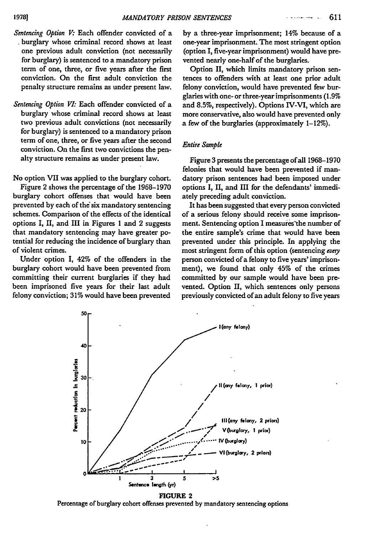- Sentencing Option V: Each offender convicted of a burglary whose criminal record shows at least one previous adult conviction (not necessarily for burglary) is sentenced to a mandatory prison term of one, three, or five years after the first conviction. On the first adult conviction the penalty structure remains as under present law.
- *Sentencing Option VI:* Each offender convicted of a burglary whose criminal record shows at least two previous adult convictions (not necessarily for burglary) is sentenced to a mandatory prison term of one, three, or five years after the second conviction. On the first two convictions the penalty structure remains as under present law.

No option VII was applied to the burglary cohort.

Figure 2 shows the percentage of the **1968-1970** burglary cohort offenses that would have been prevented **by** each of the six mandatory sentencing schemes. Comparison of the effects of the identical options I, II, and **III** in Figures **1** and 2 suggests that mandatory sentencing may have greater potential for reducing the incidence of burglary than of violent crimes.

Under option **I,** 42% of the offenders in the burglary cohort would have been prevented from committing their current burglaries if they had been imprisoned five years for their last adult felony conviction; **31%** would have been prevented **by** a three-year imprisonment; **14%** because of a one-year imprisonment. The most stringent option (option I, five-year imprisonment) would have prevented nearly one-half of the burglaries.

Option II, which limits mandatory prison sentences to offenders with at least one prior adult felony conviction, would have prevented few burglaries with one- or three-year imprisonments **(1.9%** and **8.5%,** respectively). Options IV-VI, which are more conservative, also would have prevented only a few of the burglaries (approximately 1-12%).

# *Entire Sample*

Figure 3 presents the percentage of all 1968-1970 felonies that would have been prevented if mandatory prison sentences had been imposed under options I, II, and III for the defendants' immediately preceding adult conviction.

It has been suggested that every person convicted of a serious felony should receive some imprisonment. Sentencing option I measures"the number of the entire sample's crime that would have been prevented under this principle. In applying the most stringent form of this option (sentencing every person convicted of a felony to five years' imprisonment), we found that only 45% of the crimes committed by our sample would have been prevented. Option II, which sentences only persons previously convicted of an adult felony to five years



**FIGURE 2** Percentage of burglary cohort offenses prevented **by** mandatory sentencing options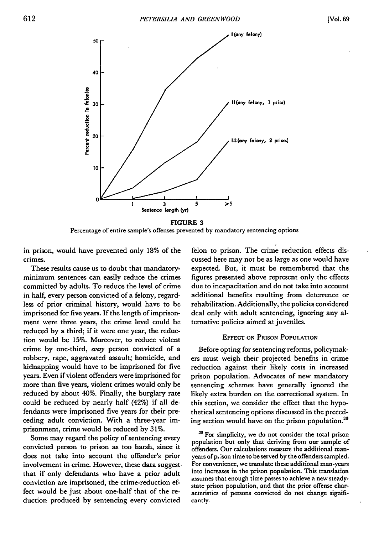

**FIGURE 3** Percentage of entire sample's offenses prevented **by** mandatory sentencing options

in prison, would have prevented only 18% of the crimes.

These results cause us to doubt that mandatoryminimum sentences can easily reduce the crimes committed **by** adults. To reduce the level of crime in half, every person convicted of a felony, regardless of prior criminal history, would have to **be** imprisoned for five years. **If** the length of imprisonment were three years, the crime level could be reduced **by** a third; if it were one year, the reduction would be **15%.** Moreover, to reduce violent crime **by** one-third, *every* person convicted of a robbery, rape, aggravated assault; homicide, and kidnapping would have to be imprisoned for five years. Even if violent offenders were imprisoned for more than five years, violent crimes would only be reduced **by** about 40%. Finally, the burglary rate could be reduced **by** nearly half (42%) if all defendants were imprisoned five years for their preceding adult conviction. With a three-year imprisonment, crime would be reduced **by 31%.**

Some may regard the policy of sentencing every convicted person to prison as too harsh, since it does not take into account the offender's prior involvement in crime. However, these data suggest. that if only defendants who have a prior adult conviction are imprisoned, the crime-reduction effect would be just about one-half that of the reduction produced **by** sentencing every convicted

felon to prison. The crime reduction effects discussed here may not be-as large as one would have expected. But, it must be remembered that the figures presented above represent only the effects due to incapacitation and do not take into account additional benefits resulting from deterrence or rehabilitation. Additionally, the policies considered deal only with adult sentencing, ignoring any alternative policies aimed at juveniles.

# **EFFECT ON** PRISON **POPULATION**

Before opting for sentencing reforms, policymakers must weigh their projected benefits in crime reduction against their likely costs in increased prison population. Advocates of new mandatory sentencing schemes have generally ignored the likely extra burden on the correctional system. In this section, we consider the effect that the hypothetical sentencing options discussed in the preceding section would have on the prison population.<sup>30</sup>

*<sup>30</sup>*For simplicity, we do not consider the total prison population but only that deriving from our sample of offenders. Our calculations measure the additional man years of **p.** \*son time to **be** served **by** the offenders sampled. For convenience, we translate these additional man-years into increases in the prison population. This translation assumes that enough time passes to achieve a new steadystate prison population, and that the prior offense characteristics of persons convicted do not change significantly.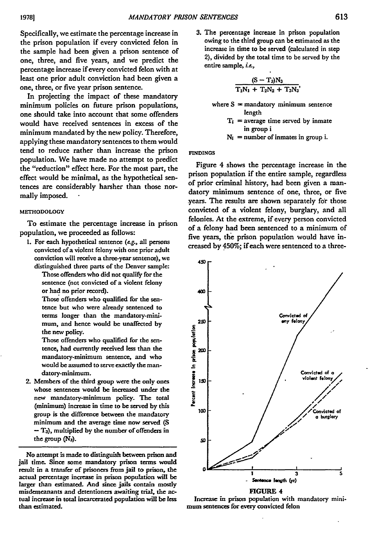Specifically, we estimate the percentage increase in the prison population if every convicted felon in the sample had been given a prison sentence of one, three, and five years, and we predict the percentage increase if every convicted felon with at least one prior adult conviction had been given a one, three, or five year prison sentence.

In projecting the impact of these mandatory minimum policies on future prison populations, one should take into account that some offenders would have received sentences in excess of the minimum mandated by the new policy. Therefore, applying these mandatory sentences to them would tend to reduce rather than increase the prison population. We have made no attempt to predict the "reduction" effect here. For the most part, the effect would be minimal, as the hypothetical sentences are considerably harsher than those normally imposed.

# **METHODOLOGY**

To estimate the percentage increase in prison population, we proceeded as follows:

**1.** For each hypothetical sentence *(&g.,* all persons convicted of a violent felony with one prior adult conviction will receive a three-year sentence), we distinguished three parts of the Denver sample:

Those offenders who did not qualify for the sentence (not convicted of a violent felony or had no prior record).

Those offenders who qualified for the sentence but who were already sentenced to terms longer than the mandatory-minimum, and hence would be unaffected by the new policy.

Those offenders who qualified for the sentence, had currently received less than the mandatory-minimum sentence, and who would be assumed to serve exactly the mandatory-minimum.

2. Members of the third group were the only ones whose sentences would **be** increased under the new mandatory-minimum policy. The total (minimum) increase in time to **be** served **by** this group is the difference between the mandatory minimum and the average time now served **(S** - **T3),** multiplied by the number of offenders in the group **(N3).**

No attempt is made to distinguish between prison and jail **time.** Since some mandatory prison terms would result in a transfer of prisoners from jail to prison, the actual percentage increase in prison population will be larger than estimated. And since jails contain mostly misdemeanants and detentioners awaiting trial, the **ac** tual increase in total incarcerated population will **be** less than estimated.

**3.** The percentage increase in prison population owing to the third group can be estimated as the increase in time to **be** served (calculated in step 2), divided **by** the total time to be served **by** the entire sample, *i.e.,*

$$
\frac{(S-T_3)N_3}{T_1N_1+T_2N_2+T_3N_3}
$$

- where  $S =$  mandatory minimum sentence length
	- $T_i$  = average time served by inmate in group i
	- $N_i$  = number of inmates in group i.

# **FINDINGS**

Figure 4 shows the percentage increase in the prison population if the entire sample, regardless of prior criminal history, had been given a mandatory minimum sentence of one, three, or five years. The results are shown separately for those convicted of a violent felony, burglary, and all felonies. At the extreme, if every person convicted of a felony had been sentenced to a minimum of five years, the prison population would have increased by **450%;** if each were sentenced to a three-



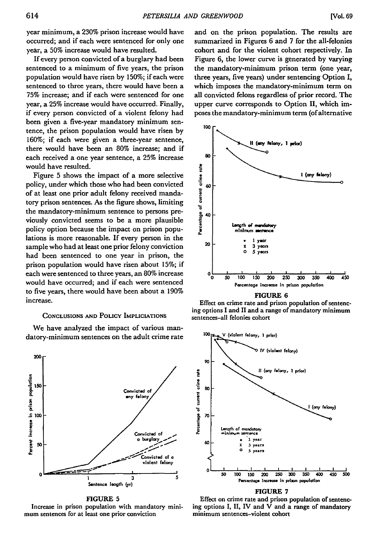year minimum, a **230%** prison increase would have occurred; and if each were sentenced for only one year, a **50%** increase would have resulted.

If every person convicted of a burglary had been sentenced to a minimum of five years, the prison population would have risen by **150%;** if each were sentenced to three years, there would have been a **75%** increase; and if each were sentenced for one year, a **25%** increase would have occurred. Finally, if every person convicted of a violent felony had been given a five-year mandatory minimum sentence, the prison population would have risen by **160%;** if each were given a three-year sentence, there would have been an 80% increase; and if each received a one year sentence, a **25%** increase would have resulted.

Figure 5 shows the impact of a more selective policy, under which those who had been convicted of at least one prior adult felony received mandatory prison sentences. As the figure shows, limiting the mandatory-minimum sentence to persons previously convicted seems to be a more plausible policy option because the impact on prison populations is more reasonable. If every person in the sample who had at least one prior felony conviction had been sentenced to one year in prison, the prison population would have risen about **15%;** if each were sentenced to three years, an **80%** increase would have occurred; and if each were sentenced to five years, there would have been about a 190% increase.

# **CONCLUSIONS AND POLICY IMPLICIATIONS**

We have analyzed the impact of various mandatory-minimum sentences on the adult crime rate



### **FIGURE 5**

Increase in prison population with mandatory minimum sentences for at least one prior conviction

and on the prison population. The results are summarized in Figures **6** and 7 for the all-felonies cohort and for the violent cohort respectively. In Figure 6, the lower curve is generated by varying the mandatory-minimum prison term (one year, three years, five years) under sentencing Option I, which imposes the mandatory-minimum term on all convicted felons regardless of prior record. The upper curve corresponds to Option II, which imposes the mandatory-minimum term (of alternative



**FIGURE 6**

Effect on crime rate and prison population of sentencing options I and **II** and a range of mandatory minimum sentences-all felonies cohort



### **FIGURE 7**

Effect on crime rate and prison population of sentencing options **I, II,** IV and V and a range of mandatory minimum sentences-violent cohort